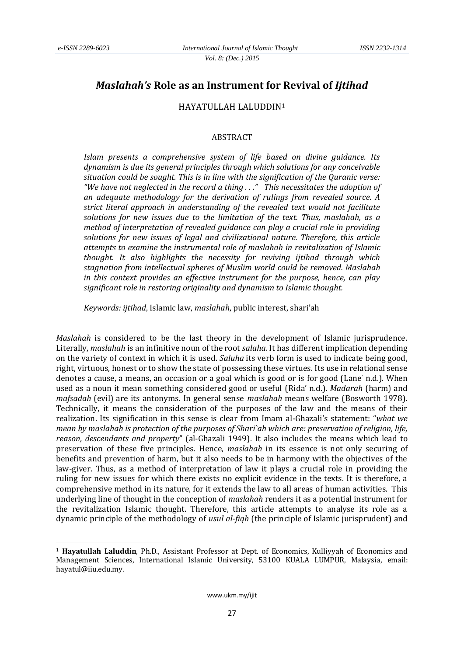<u>.</u>

# *Maslahah's* **Role as an Instrument for Revival of** *Ijtihad*

## HAYATULLAH LALUDDIN<sup>1</sup>

#### ABSTRACT

*Islam presents a comprehensive system of life based on divine guidance. Its dynamism is due its general principles through which solutions for any conceivable situation could be sought. This is in line with the signification of the Quranic verse: "We have not neglected in the record a thing . . ." This necessitates the adoption of an adequate methodology for the derivation of rulings from revealed source. A strict literal approach in understanding of the revealed text would not facilitate solutions for new issues due to the limitation of the text. Thus, maslahah, as a method of interpretation of revealed guidance can play a crucial role in providing solutions for new issues of legal and civilizational nature. Therefore, this article attempts to examine the instrumental role of maslahah in revitalization of Islamic thought. It also highlights the necessity for reviving ijtihad through which stagnation from intellectual spheres of Muslim world could be removed. Maslahah in this context provides an effective instrument for the purpose, hence, can play significant role in restoring originality and dynamism to Islamic thought.*

*Keywords: ijtihad*, Islamic law, *maslahah*, public interest, shari'ah

*Maslahah* is considered to be the last theory in the development of Islamic jurisprudence. Literally, *maslahah* is an infinitive noun of the root *salaha.* It has different implication depending on the variety of context in which it is used. *Saluha* its verb form is used to indicate being good, right, virtuous, honest or to show the state of possessing these virtues. Its use in relational sense denotes a cause, a means, an occasion or a goal which is good or is for good (Lane' n.d.). When used as a noun it mean something considered good or useful (Rida' n.d.). *Madarah* (harm) and *mafsadah* (evil) are its antonyms. In general sense *maslahah* means welfare (Bosworth 1978). Technically, it means the consideration of the purposes of the law and the means of their realization. Its signification in this sense is clear from Imam al-Ghazali's statement: "*what we mean by maslahah is protection of the purposes of Shari`ah which are: preservation of religion, life, reason, descendants and property*" (al-Ghazali 1949). It also includes the means which lead to preservation of these five principles. Hence, *maslahah* in its essence is not only securing of benefits and prevention of harm, but it also needs to be in harmony with the objectives of the law-giver. Thus, as a method of interpretation of law it plays a crucial role in providing the ruling for new issues for which there exists no explicit evidence in the texts. It is therefore, a comprehensive method in its nature, for it extends the law to all areas of human activities. This underlying line of thought in the conception of *maslahah* renders it as a potential instrument for the revitalization Islamic thought. Therefore, this article attempts to analyse its role as a dynamic principle of the methodology of *usul al-fiqh* (the principle of Islamic jurisprudent) and

<sup>1</sup> **Hayatullah Laluddin**, Ph.D., Assistant Professor at Dept. of Economics, Kulliyyah of Economics and Management Sciences, International Islamic University, 53100 KUALA LUMPUR, Malaysia, email: hayatul@iiu.edu.my.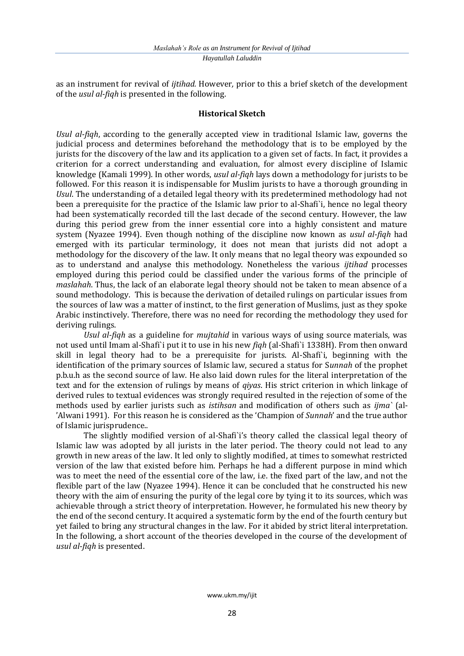as an instrument for revival of *ijtihad.* However*,* prior to this a brief sketch of the development of the *usul al-fiqh* is presented in the following.

# **Historical Sketch**

*Usul al-fiqh*, according to the generally accepted view in traditional Islamic law, governs the judicial process and determines beforehand the methodology that is to be employed by the jurists for the discovery of the law and its application to a given set of facts. In fact, it provides a criterion for a correct understanding and evaluation, for almost every discipline of Islamic knowledge (Kamali 1999). In other words, *usul al-fiqh* lays down a methodology for jurists to be followed. For this reason it is indispensable for Muslim jurists to have a thorough grounding in *Usul*. The understanding of a detailed legal theory with its predetermined methodology had not been a prerequisite for the practice of the Islamic law prior to al-Shafi`i, hence no legal theory had been systematically recorded till the last decade of the second century. However, the law during this period grew from the inner essential core into a highly consistent and mature system (Nyazee 1994). Even though nothing of the discipline now known as *usul al-fiqh* had emerged with its particular terminology, it does not mean that jurists did not adopt a methodology for the discovery of the law. It only means that no legal theory was expounded so as to understand and analyse this methodology. Nonetheless the various *ijtihad* processes employed during this period could be classified under the various forms of the principle of *maslahah*. Thus, the lack of an elaborate legal theory should not be taken to mean absence of a sound methodology. This is because the derivation of detailed rulings on particular issues from the sources of law was a matter of instinct, to the first generation of Muslims, just as they spoke Arabic instinctively. Therefore, there was no need for recording the methodology they used for deriving rulings.

*Usul al-fiqh* as a guideline for *mujtahid* in various ways of using source materials, was not used until Imam al-Shafi`i put it to use in his new *fiqh* (al-Shafi`i 1338H). From then onward skill in legal theory had to be a prerequisite for jurists. Al-Shafi`i, beginning with the identification of the primary sources of Islamic law, secured a status for S*unnah* of the prophet p.b.u.h as the second source of law. He also laid down rules for the literal interpretation of the text and for the extension of rulings by means of *qiyas*. His strict criterion in which linkage of derived rules to textual evidences was strongly required resulted in the rejection of some of the methods used by earlier jurists such as *istihsan* and modification of others such as *ijma`* (al- 'Alwani 1991). For this reason he is considered as the 'Champion of *Sunnah*' and the true author of Islamic jurisprudence..

The slightly modified version of al-Shafi`i's theory called the classical legal theory of Islamic law was adopted by all jurists in the later period. The theory could not lead to any growth in new areas of the law. It led only to slightly modified, at times to somewhat restricted version of the law that existed before him. Perhaps he had a different purpose in mind which was to meet the need of the essential core of the law, i.e. the fixed part of the law, and not the flexible part of the law (Nyazee 1994). Hence it can be concluded that he constructed his new theory with the aim of ensuring the purity of the legal core by tying it to its sources, which was achievable through a strict theory of interpretation. However, he formulated his new theory by the end of the second century. It acquired a systematic form by the end of the fourth century but yet failed to bring any structural changes in the law. For it abided by strict literal interpretation. In the following, a short account of the theories developed in the course of the development of *usul al-fiqh* is presented.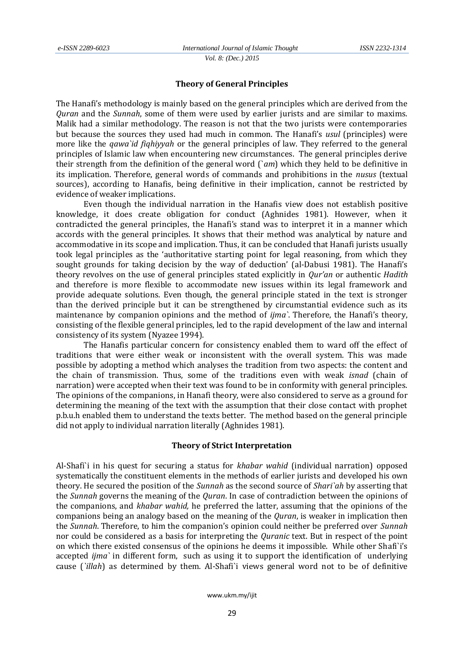*Vol. 8: (Dec.) 2015*

### **Theory of General Principles**

The Hanafi's methodology is mainly based on the general principles which are derived from the *Quran* and the *Sunnah*, some of them were used by earlier jurists and are similar to maxims. Malik had a similar methodology. The reason is not that the two jurists were contemporaries but because the sources they used had much in common. The Hanafi's *usul* (principles) were more like the *qawa`id fiqhiyyah* or the general principles of law. They referred to the general principles of Islamic law when encountering new circumstances. The general principles derive their strength from the definition of the general word (`*am*) which they held to be definitive in its implication. Therefore, general words of commands and prohibitions in the *nusus* (textual sources), according to Hanafis, being definitive in their implication, cannot be restricted by evidence of weaker implications.

Even though the individual narration in the Hanafis view does not establish positive knowledge, it does create obligation for conduct (Aghnides 1981). However, when it contradicted the general principles, the Hanafi's stand was to interpret it in a manner which accords with the general principles. It shows that their method was analytical by nature and accommodative in its scope and implication. Thus, it can be concluded that Hanafi jurists usually took legal principles as the 'authoritative starting point for legal reasoning, from which they sought grounds for taking decision by the way of deduction' (al-Dabusi 1981). The Hanafi's theory revolves on the use of general principles stated explicitly in *Qur'an* or authentic *Hadith* and therefore is more flexible to accommodate new issues within its legal framework and provide adequate solutions. Even though, the general principle stated in the text is stronger than the derived principle but it can be strengthened by circumstantial evidence such as its maintenance by companion opinions and the method of *ijma`*. Therefore, the Hanafi's theory, consisting of the flexible general principles, led to the rapid development of the law and internal consistency of its system (Nyazee 1994).

The Hanafis particular concern for consistency enabled them to ward off the effect of traditions that were either weak or inconsistent with the overall system. This was made possible by adopting a method which analyses the tradition from two aspects: the content and the chain of transmission. Thus, some of the traditions even with weak *isnad* (chain of narration) were accepted when their text was found to be in conformity with general principles. The opinions of the companions, in Hanafi theory, were also considered to serve as a ground for determining the meaning of the text with the assumption that their close contact with prophet p.b.u.h enabled them to understand the texts better. The method based on the general principle did not apply to individual narration literally (Aghnides 1981).

### **Theory of Strict Interpretation**

Al-Shafi`i in his quest for securing a status for *khabar wahid* (individual narration) opposed systematically the constituent elements in the methods of earlier jurists and developed his own theory. He secured the position of the *Sunnah* as the second source of *Shari`ah* by asserting that the *Sunnah* governs the meaning of the *Quran*. In case of contradiction between the opinions of the companions, and *khabar wahid,* he preferred the latter, assuming that the opinions of the companions being an analogy based on the meaning of the *Quran*, is weaker in implication then the *Sunnah*. Therefore, to him the companion's opinion could neither be preferred over *Sunnah* nor could be considered as a basis for interpreting the *Quranic* text. But in respect of the point on which there existed consensus of the opinions he deems it impossible. While other Shafi`i's accepted *ijma`* in different form, such as using it to support the identification of underlying cause (*`illah*) as determined by them. Al-Shafi`i views general word not to be of definitive

www.ukm.my/ijit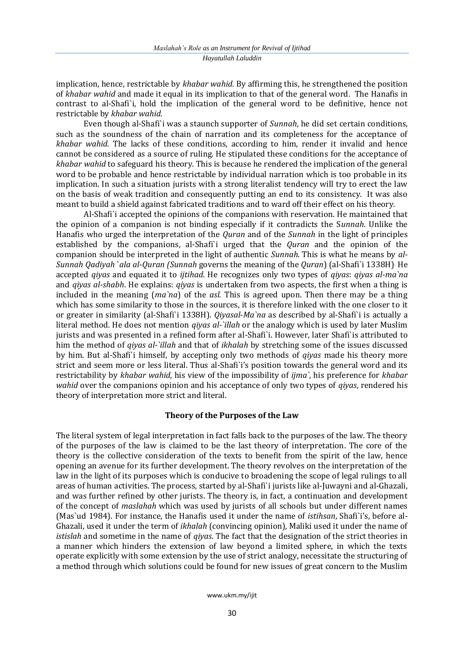implication, hence, restrictable by *khabar wahid*. By affirming this, he strengthened the position of *khabar wahid* and made it equal in its implication to that of the general word. The Hanafis in contrast to al-Shafi`i, hold the implication of the general word to be definitive, hence not restrictable by *khabar wahid*.

Even though al-Shafi`i was a staunch supporter of *Sunnah*, he did set certain conditions, such as the soundness of the chain of narration and its completeness for the acceptance of *khabar wahid*. The lacks of these conditions, according to him, render it invalid and hence cannot be considered as a source of ruling. He stipulated these conditions for the acceptance of *khabar wahid* to safeguard his theory. This is because he rendered the implication of the general word to be probable and hence restrictable by individual narration which is too probable in its implication. In such a situation jurists with a strong literalist tendency will try to erect the law on the basis of weak tradition and consequently putting an end to its consistency. It was also meant to build a shield against fabricated traditions and to ward off their effect on his theory.

Al-Shafi`i accepted the opinions of the companions with reservation. He maintained that the opinion of a companion is not binding especially if it contradicts the S*unnah*. Unlike the Hanafis who urged the interpretation of the *Quran* and of the *Sunnah* in the light of principles established by the companions, al-Shafi`i urged that the *Quran* and the opinion of the companion should be interpreted in the light of authentic *Sunnah*. This is what he means by *al-Sunnah Qadiyah* `*ala al-Quran (Sunnah* governs the meaning of the *Quran*) (al-Shafi`i 1338H). He accepted *qiyas* and equated it to *ijtihad*. He recognizes only two types of *qiyas*: *qiyas al-ma`na* and *qiyas al-shabh*. He explains: *qiyas* is undertaken from two aspects, the first when a thing is included in the meaning (*ma`na*) of the *asl.* This is agreed upon. Then there may be a thing which has some similarity to those in the sources, it is therefore linked with the one closer to it or greater in similarity (al-Shafi`i 1338H). *Qiyasal*-*Ma`na* as described by al-Shafi`i is actually a literal method. He does not mention *qiyas al-`illah* or the analogy which is used by later Muslim jurists and was presented in a refined form after al-Shafi`i. However, later Shafi`is attributed to him the method of *qiyas al-`illah* and that of *ikhalah* by stretching some of the issues discussed by him. But al-Shafi`i himself, by accepting only two methods of *qiyas* made his theory more strict and seem more or less literal. Thus al-Shafi`i's position towards the general word and its restrictability by *khabar wahid*, his view of the impossibility of *ijma`*, his preference for *khabar wahid* over the companions opinion and his acceptance of only two types of *qiyas*, rendered his theory of interpretation more strict and literal.

## **Theory of the Purposes of the Law**

The literal system of legal interpretation in fact falls back to the purposes of the law. The theory of the purposes of the law is claimed to be the last theory of interpretation. The core of the theory is the collective consideration of the texts to benefit from the spirit of the law, hence opening an avenue for its further development. The theory revolves on the interpretation of the law in the light of its purposes which is conducive to broadening the scope of legal rulings to all areas of human activities. The process, started by al-Shafi`i jurists like al-Juwayni and al-Ghazali, and was further refined by other jurists. The theory is, in fact, a continuation and development of the concept of *maslahah* which was used by jurists of all schools but under different names (Mas`ud 1984). For instance, the Hanafis used it under the name of *istihsan*, Shafi`i's, before al-Ghazali, used it under the term of *ikhalah* (convincing opinion), Maliki used it under the name of *istislah* and sometime in the name of *qiyas*. The fact that the designation of the strict theories in a manner which hinders the extension of law beyond a limited sphere, in which the texts operate explicitly with some extension by the use of strict analogy, necessitate the structuring of a method through which solutions could be found for new issues of great concern to the Muslim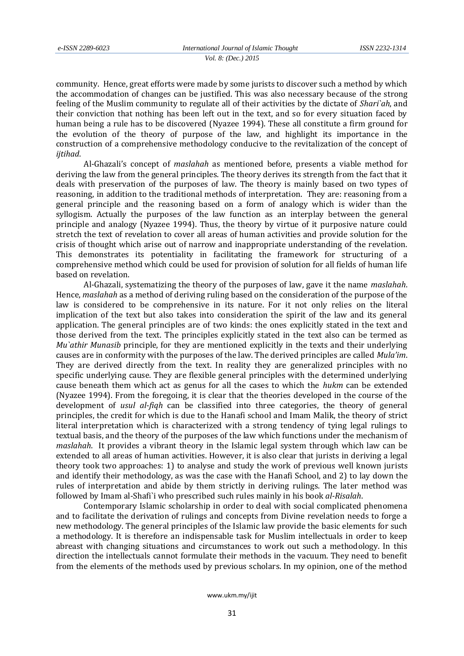*Vol. 8: (Dec.) 2015*

community. Hence, great efforts were made by some jurists to discover such a method by which the accommodation of changes can be justified. This was also necessary because of the strong feeling of the Muslim community to regulate all of their activities by the dictate of *Shari`ah*, and their conviction that nothing has been left out in the text, and so for every situation faced by human being a rule has to be discovered (Nyazee 1994). These all constitute a firm ground for the evolution of the theory of purpose of the law, and highlight its importance in the construction of a comprehensive methodology conducive to the revitalization of the concept of *ijtihad*.

Al-Ghazali's concept of *maslahah* as mentioned before, presents a viable method for deriving the law from the general principles. The theory derives its strength from the fact that it deals with preservation of the purposes of law. The theory is mainly based on two types of reasoning, in addition to the traditional methods of interpretation. They are: reasoning from a general principle and the reasoning based on a form of analogy which is wider than the syllogism. Actually the purposes of the law function as an interplay between the general principle and analogy (Nyazee 1994). Thus, the theory by virtue of it purposive nature could stretch the text of revelation to cover all areas of human activities and provide solution for the crisis of thought which arise out of narrow and inappropriate understanding of the revelation. This demonstrates its potentiality in facilitating the framework for structuring of a comprehensive method which could be used for provision of solution for all fields of human life based on revelation.

Al-Ghazali, systematizing the theory of the purposes of law, gave it the name *maslahah*. Hence, *maslahah* as a method of deriving ruling based on the consideration of the purpose of the law is considered to be comprehensive in its nature. For it not only relies on the literal implication of the text but also takes into consideration the spirit of the law and its general application. The general principles are of two kinds: the ones explicitly stated in the text and those derived from the text. The principles explicitly stated in the text also can be termed as *Mu`athir Munasib* principle, for they are mentioned explicitly in the texts and their underlying causes are in conformity with the purposes of the law. The derived principles are called *Mula'im*. They are derived directly from the text. In reality they are generalized principles with no specific underlying cause. They are flexible general principles with the determined underlying cause beneath them which act as genus for all the cases to which the *hukm* can be extended (Nyazee 1994). From the foregoing, it is clear that the theories developed in the course of the development of *usul al-fiqh* can be classified into three categories, the theory of general principles, the credit for which is due to the Hanafi school and Imam Malik, the theory of strict literal interpretation which is characterized with a strong tendency of tying legal rulings to textual basis, and the theory of the purposes of the law which functions under the mechanism of *maslahah*. It provides a vibrant theory in the Islamic legal system through which law can be extended to all areas of human activities. However, it is also clear that jurists in deriving a legal theory took two approaches: 1) to analyse and study the work of previous well known jurists and identify their methodology, as was the case with the Hanafi School, and 2) to lay down the rules of interpretation and abide by them strictly in deriving rulings. The later method was followed by Imam al-Shafi`i who prescribed such rules mainly in his book *al-Risalah*.

Contemporary Islamic scholarship in order to deal with social complicated phenomena and to facilitate the derivation of rulings and concepts from Divine revelation needs to forge a new methodology. The general principles of the Islamic law provide the basic elements for such a methodology. It is therefore an indispensable task for Muslim intellectuals in order to keep abreast with changing situations and circumstances to work out such a methodology. In this direction the intellectuals cannot formulate their methods in the vacuum. They need to benefit from the elements of the methods used by previous scholars. In my opinion, one of the method

#### www.ukm.my/ijit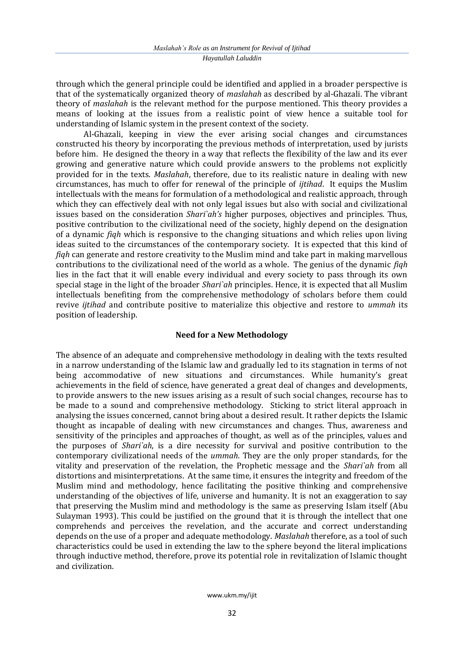through which the general principle could be identified and applied in a broader perspective is that of the systematically organized theory of *maslahah* as described by al-Ghazali. The vibrant theory of *maslahah* is the relevant method for the purpose mentioned. This theory provides a means of looking at the issues from a realistic point of view hence a suitable tool for understanding of Islamic system in the present context of the society.

Al-Ghazali, keeping in view the ever arising social changes and circumstances constructed his theory by incorporating the previous methods of interpretation, used by jurists before him. He designed the theory in a way that reflects the flexibility of the law and its ever growing and generative nature which could provide answers to the problems not explicitly provided for in the texts. *Maslahah*, therefore, due to its realistic nature in dealing with new circumstances, has much to offer for renewal of the principle of *ijtihad*. It equips the Muslim intellectuals with the means for formulation of a methodological and realistic approach, through which they can effectively deal with not only legal issues but also with social and civilizational issues based on the consideration *Shari`ah's* higher purposes, objectives and principles. Thus, positive contribution to the civilizational need of the society, highly depend on the designation of a dynamic *fiqh* which is responsive to the changing situations and which relies upon living ideas suited to the circumstances of the contemporary society. It is expected that this kind of *fiqh* can generate and restore creativity to the Muslim mind and take part in making marvellous contributions to the civilizational need of the world as a whole. The genius of the dynamic *fiqh* lies in the fact that it will enable every individual and every society to pass through its own special stage in the light of the broader *Shari`ah* principles. Hence, it is expected that all Muslim intellectuals benefiting from the comprehensive methodology of scholars before them could revive *ijtihad* and contribute positive to materialize this objective and restore to *ummah* its position of leadership.

# **Need for a New Methodology**

The absence of an adequate and comprehensive methodology in dealing with the texts resulted in a narrow understanding of the Islamic law and gradually led to its stagnation in terms of not being accommodative of new situations and circumstances. While humanity's great achievements in the field of science, have generated a great deal of changes and developments, to provide answers to the new issues arising as a result of such social changes, recourse has to be made to a sound and comprehensive methodology. Sticking to strict literal approach in analysing the issues concerned, cannot bring about a desired result. It rather depicts the Islamic thought as incapable of dealing with new circumstances and changes. Thus, awareness and sensitivity of the principles and approaches of thought, as well as of the principles, values and the purposes of *Shari`ah*, is a dire necessity for survival and positive contribution to the contemporary civilizational needs of the *ummah*. They are the only proper standards, for the vitality and preservation of the revelation, the Prophetic message and the *Shari`ah* from all distortions and misinterpretations. At the same time, it ensures the integrity and freedom of the Muslim mind and methodology, hence facilitating the positive thinking and comprehensive understanding of the objectives of life, universe and humanity. It is not an exaggeration to say that preserving the Muslim mind and methodology is the same as preserving Islam itself (Abu Sulayman 1993). This could be justified on the ground that it is through the intellect that one comprehends and perceives the revelation, and the accurate and correct understanding depends on the use of a proper and adequate methodology. *Maslahah* therefore, as a tool of such characteristics could be used in extending the law to the sphere beyond the literal implications through inductive method, therefore, prove its potential role in revitalization of Islamic thought and civilization.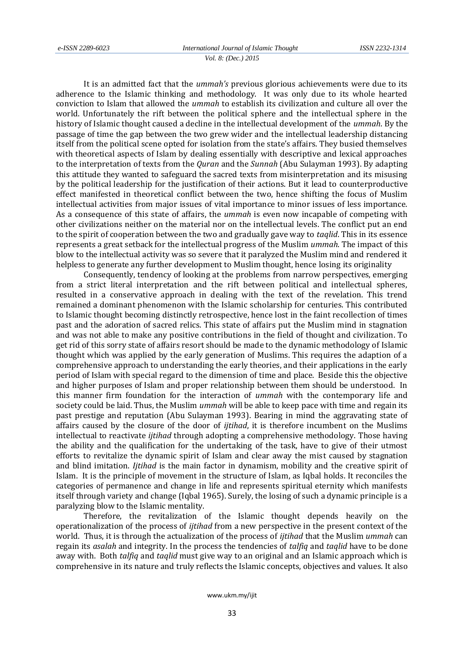*Vol. 8: (Dec.) 2015*

It is an admitted fact that the *ummah's* previous glorious achievements were due to its adherence to the Islamic thinking and methodology. It was only due to its whole hearted conviction to Islam that allowed the *ummah* to establish its civilization and culture all over the world. Unfortunately the rift between the political sphere and the intellectual sphere in the history of Islamic thought caused a decline in the intellectual development of the *ummah*. By the passage of time the gap between the two grew wider and the intellectual leadership distancing itself from the political scene opted for isolation from the state's affairs. They busied themselves with theoretical aspects of Islam by dealing essentially with descriptive and lexical approaches to the interpretation of texts from the *Quran* and the *Sunnah* (Abu Sulayman 1993). By adapting this attitude they wanted to safeguard the sacred texts from misinterpretation and its misusing by the political leadership for the justification of their actions. But it lead to counterproductive effect manifested in theoretical conflict between the two, hence shifting the focus of Muslim intellectual activities from major issues of vital importance to minor issues of less importance. As a consequence of this state of affairs, the *ummah* is even now incapable of competing with other civilizations neither on the material nor on the intellectual levels. The conflict put an end to the spirit of cooperation between the two and gradually gave way to *taqlid*. This in its essence represents a great setback for the intellectual progress of the Muslim *ummah*. The impact of this blow to the intellectual activity was so severe that it paralyzed the Muslim mind and rendered it helpless to generate any further development to Muslim thought, hence losing its originality

Consequently, tendency of looking at the problems from narrow perspectives, emerging from a strict literal interpretation and the rift between political and intellectual spheres, resulted in a conservative approach in dealing with the text of the revelation. This trend remained a dominant phenomenon with the Islamic scholarship for centuries. This contributed to Islamic thought becoming distinctly retrospective, hence lost in the faint recollection of times past and the adoration of sacred relics. This state of affairs put the Muslim mind in stagnation and was not able to make any positive contributions in the field of thought and civilization. To get rid of this sorry state of affairs resort should be made to the dynamic methodology of Islamic thought which was applied by the early generation of Muslims. This requires the adaption of a comprehensive approach to understanding the early theories, and their applications in the early period of Islam with special regard to the dimension of time and place. Beside this the objective and higher purposes of Islam and proper relationship between them should be understood. In this manner firm foundation for the interaction of *ummah* with the contemporary life and society could be laid. Thus, the Muslim *ummah* will be able to keep pace with time and regain its past prestige and reputation (Abu Sulayman 1993). Bearing in mind the aggravating state of affairs caused by the closure of the door of *ijtihad*, it is therefore incumbent on the Muslims intellectual to reactivate *ijtihad* through adopting a comprehensive methodology. Those having the ability and the qualification for the undertaking of the task, have to give of their utmost efforts to revitalize the dynamic spirit of Islam and clear away the mist caused by stagnation and blind imitation. *Ijtihad* is the main factor in dynamism, mobility and the creative spirit of Islam. It is the principle of movement in the structure of Islam, as Iqbal holds. It reconciles the categories of permanence and change in life and represents spiritual eternity which manifests itself through variety and change (Iqbal 1965). Surely, the losing of such a dynamic principle is a paralyzing blow to the Islamic mentality.

Therefore, the revitalization of the Islamic thought depends heavily on the operationalization of the process of *ijtihad* from a new perspective in the present context of the world. Thus, it is through the actualization of the process of *ijtihad* that the Muslim *ummah* can regain its *asalah* and integrity. In the process the tendencies of *talfiq* and *taqlid* have to be done away with. Both *talfiq* and *taqlid* must give way to an original and an Islamic approach which is comprehensive in its nature and truly reflects the Islamic concepts, objectives and values. It also

#### www.ukm.my/ijit